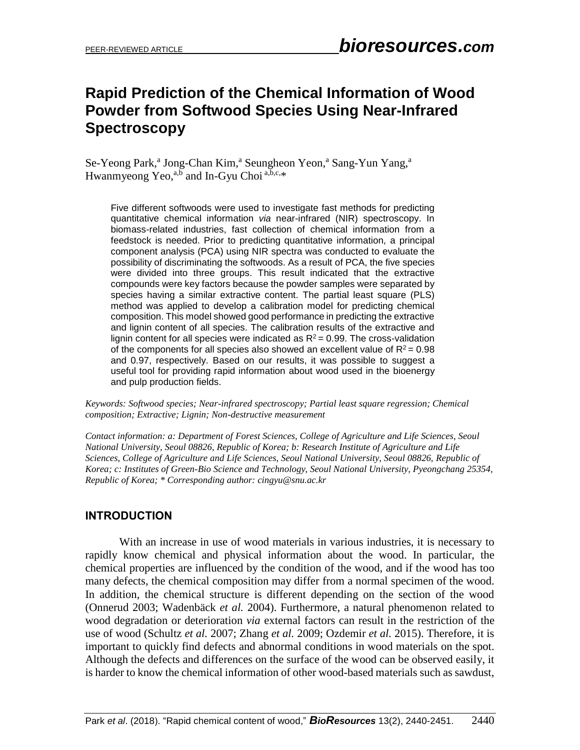# **Rapid Prediction of the Chemical Information of Wood Powder from Softwood Species Using Near-Infrared Spectroscopy**

Se-Yeong Park,<sup>a</sup> Jong-Chan Kim,<sup>a</sup> Seungheon Yeon,<sup>a</sup> Sang-Yun Yang,<sup>a</sup> Hwanmyeong Yeo,<sup>a,b</sup> and In-Gyu Choi<sup>a,b,c,\*</sup>

Five different softwoods were used to investigate fast methods for predicting quantitative chemical information *via* near-infrared (NIR) spectroscopy. In biomass-related industries, fast collection of chemical information from a feedstock is needed. Prior to predicting quantitative information, a principal component analysis (PCA) using NIR spectra was conducted to evaluate the possibility of discriminating the softwoods. As a result of PCA, the five species were divided into three groups. This result indicated that the extractive compounds were key factors because the powder samples were separated by species having a similar extractive content. The partial least square (PLS) method was applied to develop a calibration model for predicting chemical composition. This model showed good performance in predicting the extractive and lignin content of all species. The calibration results of the extractive and lignin content for all species were indicated as  $R^2 = 0.99$ . The cross-validation of the components for all species also showed an excellent value of  $R^2 = 0.98$ and 0.97, respectively. Based on our results, it was possible to suggest a useful tool for providing rapid information about wood used in the bioenergy and pulp production fields.

*Keywords: Softwood species; Near-infrared spectroscopy; Partial least square regression; Chemical composition; Extractive; Lignin; Non-destructive measurement* 

*Contact information: a: Department of Forest Sciences, College of Agriculture and Life Sciences, Seoul National University, Seoul 08826, Republic of Korea; b: Research Institute of Agriculture and Life Sciences, College of Agriculture and Life Sciences, Seoul National University, Seoul 08826, Republic of Korea; c: Institutes of Green-Bio Science and Technology, Seoul National University, Pyeongchang 25354, Republic of Korea; \* Corresponding author: cingyu@snu.ac.kr*

## **INTRODUCTION**

With an increase in use of wood materials in various industries, it is necessary to rapidly know chemical and physical information about the wood. In particular, the chemical properties are influenced by the condition of the wood, and if the wood has too many defects, the chemical composition may differ from a normal specimen of the wood. In addition, the chemical structure is different depending on the section of the wood (Onnerud 2003; Wadenbäck *et al.* 2004). Furthermore, a natural phenomenon related to wood degradation or deterioration *via* external factors can result in the restriction of the use of wood (Schultz *et al.* 2007; Zhang *et al.* 2009; Ozdemir *et al.* 2015). Therefore, it is important to quickly find defects and abnormal conditions in wood materials on the spot. Although the defects and differences on the surface of the wood can be observed easily, it is harder to know the chemical information of other wood-based materials such as sawdust,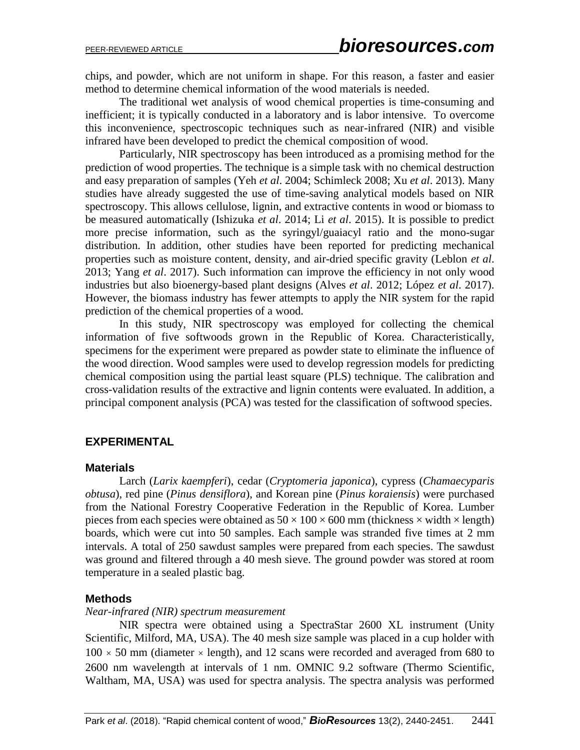chips, and powder, which are not uniform in shape. For this reason, a faster and easier method to determine chemical information of the wood materials is needed.

The traditional wet analysis of wood chemical properties is time-consuming and inefficient; it is typically conducted in a laboratory and is labor intensive. To overcome this inconvenience, spectroscopic techniques such as near-infrared (NIR) and visible infrared have been developed to predict the chemical composition of wood.

Particularly, NIR spectroscopy has been introduced as a promising method for the prediction of wood properties. The technique is a simple task with no chemical destruction and easy preparation of samples (Yeh *et al*. 2004; Schimleck 2008; Xu *et al*. 2013). Many studies have already suggested the use of time-saving analytical models based on NIR spectroscopy. This allows cellulose, lignin, and extractive contents in wood or biomass to be measured automatically (Ishizuka *et al*. 2014; Li *et al*. 2015). It is possible to predict more precise information, such as the syringyl/guaiacyl ratio and the mono-sugar distribution. In addition, other studies have been reported for predicting mechanical properties such as moisture content, density, and air-dried specific gravity (Leblon *et al*. 2013; Yang *et al*. 2017). Such information can improve the efficiency in not only wood industries but also bioenergy-based plant designs (Alves *et al*. 2012; López *et al*. 2017). However, the biomass industry has fewer attempts to apply the NIR system for the rapid prediction of the chemical properties of a wood.

In this study, NIR spectroscopy was employed for collecting the chemical information of five softwoods grown in the Republic of Korea. Characteristically, specimens for the experiment were prepared as powder state to eliminate the influence of the wood direction. Wood samples were used to develop regression models for predicting chemical composition using the partial least square (PLS) technique. The calibration and cross-validation results of the extractive and lignin contents were evaluated. In addition, a principal component analysis (PCA) was tested for the classification of softwood species.

## **EXPERIMENTAL**

#### **Materials**

Larch (*Larix kaempferi*), cedar (*Cryptomeria japonica*), cypress (*Chamaecyparis obtusa*), red pine (*Pinus densiflora*), and Korean pine (*Pinus koraiensis*) were purchased from the National Forestry Cooperative Federation in the Republic of Korea. Lumber pieces from each species were obtained as  $50 \times 100 \times 600$  mm (thickness  $\times$  width  $\times$  length) boards, which were cut into 50 samples. Each sample was stranded five times at 2 mm intervals. A total of 250 sawdust samples were prepared from each species. The sawdust was ground and filtered through a 40 mesh sieve. The ground powder was stored at room temperature in a sealed plastic bag.

#### **Methods**

#### *Near-infrared (NIR) spectrum measurement*

NIR spectra were obtained using a SpectraStar 2600 XL instrument (Unity Scientific, Milford, MA, USA). The 40 mesh size sample was placed in a cup holder with  $100 \times 50$  mm (diameter  $\times$  length), and 12 scans were recorded and averaged from 680 to 2600 nm wavelength at intervals of 1 nm. OMNIC 9.2 software (Thermo Scientific, Waltham, MA, USA) was used for spectra analysis. The spectra analysis was performed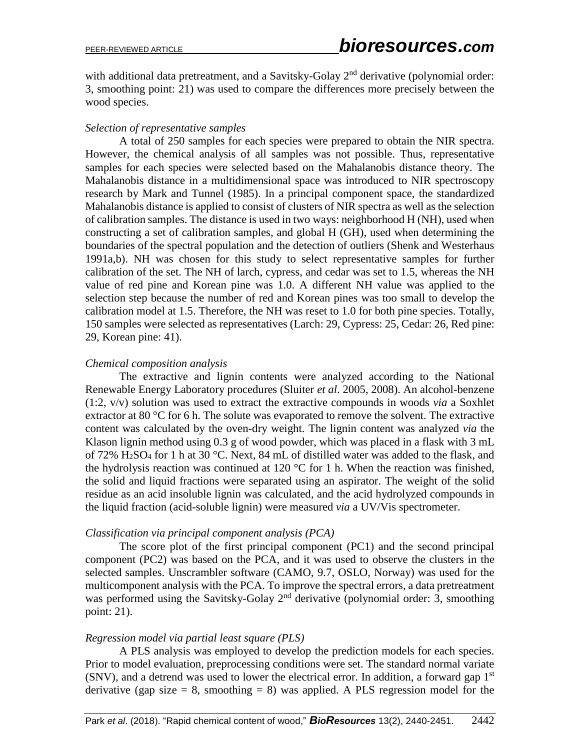with additional data pretreatment, and a Savitsky-Golay 2<sup>nd</sup> derivative (polynomial order: 3, smoothing point: 21) was used to compare the differences more precisely between the wood species.

#### *Selection of representative samples*

A total of 250 samples for each species were prepared to obtain the NIR spectra. However, the chemical analysis of all samples was not possible. Thus, representative samples for each species were selected based on the Mahalanobis distance theory. The Mahalanobis distance in a multidimensional space was introduced to NIR spectroscopy research by Mark and Tunnel (1985). In a principal component space, the standardized Mahalanobis distance is applied to consist of clusters of NIR spectra as well as the selection of calibration samples. The distance is used in two ways: neighborhood H (NH), used when constructing a set of calibration samples, and global H (GH), used when determining the boundaries of the spectral population and the detection of outliers (Shenk and Westerhaus 1991a,b). NH was chosen for this study to select representative samples for further calibration of the set. The NH of larch, cypress, and cedar was set to 1.5, whereas the NH value of red pine and Korean pine was 1.0. A different NH value was applied to the selection step because the number of red and Korean pines was too small to develop the calibration model at 1.5. Therefore, the NH was reset to 1.0 for both pine species. Totally, 150 samples were selected as representatives (Larch: 29, Cypress: 25, Cedar: 26, Red pine: 29, Korean pine: 41).

#### *Chemical composition analysis*

The extractive and lignin contents were analyzed according to the National Renewable Energy Laboratory procedures (Sluiter *et al*. 2005, 2008). An alcohol-benzene (1:2, v/v) solution was used to extract the extractive compounds in woods *via* a Soxhlet extractor at 80 °C for 6 h. The solute was evaporated to remove the solvent. The extractive content was calculated by the oven-dry weight. The lignin content was analyzed *via* the Klason lignin method using 0.3 g of wood powder, which was placed in a flask with 3 mL of 72%  $H_2SO_4$  for 1 h at 30 °C. Next, 84 mL of distilled water was added to the flask, and the hydrolysis reaction was continued at 120  $\degree$ C for 1 h. When the reaction was finished, the solid and liquid fractions were separated using an aspirator. The weight of the solid residue as an acid insoluble lignin was calculated, and the acid hydrolyzed compounds in the liquid fraction (acid-soluble lignin) were measured *via* a UV/Vis spectrometer.

#### *Classification via principal component analysis (PCA)*

The score plot of the first principal component (PC1) and the second principal component (PC2) was based on the PCA, and it was used to observe the clusters in the selected samples. Unscrambler software (CAMO, 9.7, OSLO, Norway) was used for the multicomponent analysis with the PCA. To improve the spectral errors, a data pretreatment was performed using the Savitsky-Golay 2<sup>nd</sup> derivative (polynomial order: 3, smoothing point: 21).

## *Regression model via partial least square (PLS)*

A PLS analysis was employed to develop the prediction models for each species. Prior to model evaluation, preprocessing conditions were set. The standard normal variate (SNV), and a detrend was used to lower the electrical error. In addition, a forward gap  $1<sup>st</sup>$ derivative (gap size  $= 8$ , smoothing  $= 8$ ) was applied. A PLS regression model for the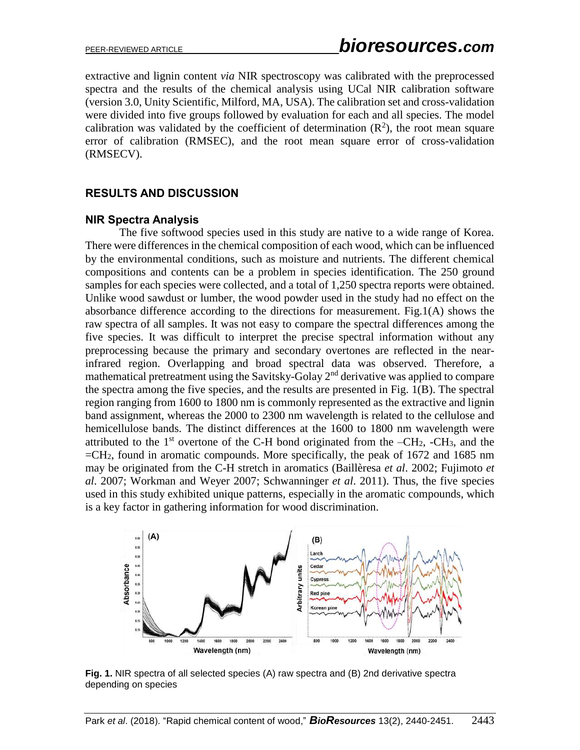extractive and lignin content *via* NIR spectroscopy was calibrated with the preprocessed spectra and the results of the chemical analysis using UCal NIR calibration software (version 3.0, Unity Scientific, Milford, MA, USA). The calibration set and cross-validation were divided into five groups followed by evaluation for each and all species. The model calibration was validated by the coefficient of determination  $(R^2)$ , the root mean square error of calibration (RMSEC), and the root mean square error of cross-validation (RMSECV).

## **RESULTS AND DISCUSSION**

#### **NIR Spectra Analysis**

The five softwood species used in this study are native to a wide range of Korea. There were differences in the chemical composition of each wood, which can be influenced by the environmental conditions, such as moisture and nutrients. The different chemical compositions and contents can be a problem in species identification. The 250 ground samples for each species were collected, and a total of 1,250 spectra reports were obtained. Unlike wood sawdust or lumber, the wood powder used in the study had no effect on the absorbance difference according to the directions for measurement. Fig.1(A) shows the raw spectra of all samples. It was not easy to compare the spectral differences among the five species. It was difficult to interpret the precise spectral information without any preprocessing because the primary and secondary overtones are reflected in the nearinfrared region. Overlapping and broad spectral data was observed. Therefore, a mathematical pretreatment using the Savitsky-Golay 2<sup>nd</sup> derivative was applied to compare the spectra among the five species, and the results are presented in Fig. 1(B). The spectral region ranging from 1600 to 1800 nm is commonly represented as the extractive and lignin band assignment, whereas the 2000 to 2300 nm wavelength is related to the cellulose and hemicellulose bands. The distinct differences at the 1600 to 1800 nm wavelength were attributed to the  $1<sup>st</sup>$  overtone of the C-H bond originated from the  $-CH_2$ ,  $-CH_3$ , and the  $=CH<sub>2</sub>$ , found in aromatic compounds. More specifically, the peak of 1672 and 1685 nm may be originated from the C-H stretch in aromatics (Baillèresa *et al*. 2002; Fujimoto *et al*. 2007; Workman and Weyer 2007; Schwanninger *et al*. 2011). Thus, the five species used in this study exhibited unique patterns, especially in the aromatic compounds, which is a key factor in gathering information for wood discrimination.



**Fig. 1.** NIR spectra of all selected species (A) raw spectra and (B) 2nd derivative spectra depending on species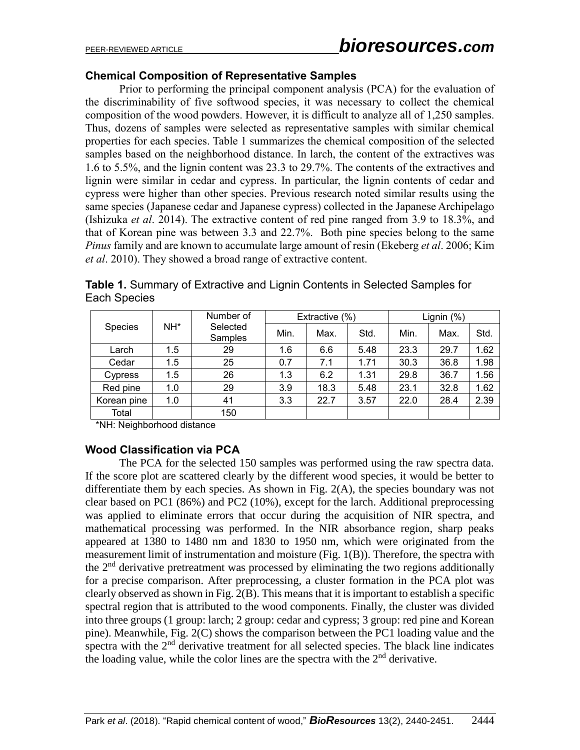## **Chemical Composition of Representative Samples**

Prior to performing the principal component analysis (PCA) for the evaluation of the discriminability of five softwood species, it was necessary to collect the chemical composition of the wood powders. However, it is difficult to analyze all of 1,250 samples. Thus, dozens of samples were selected as representative samples with similar chemical properties for each species. Table 1 summarizes the chemical composition of the selected samples based on the neighborhood distance. In larch, the content of the extractives was 1.6 to 5.5%, and the lignin content was 23.3 to 29.7%. The contents of the extractives and lignin were similar in cedar and cypress. In particular, the lignin contents of cedar and cypress were higher than other species. Previous research noted similar results using the same species (Japanese cedar and Japanese cypress) collected in the Japanese Archipelago (Ishizuka *et al*. 2014). The extractive content of red pine ranged from 3.9 to 18.3%, and that of Korean pine was between 3.3 and 22.7%. Both pine species belong to the same *Pinus* family and are known to accumulate large amount of resin (Ekeberg *et al*. 2006; Kim *et al*. 2010). They showed a broad range of extractive content.

**Table 1.** Summary of Extractive and Lignin Contents in Selected Samples for Each Species

| Species     | NH* | Number of<br>Selected<br>Samples | Extractive (%) |      |      | Lignin (%) |      |      |
|-------------|-----|----------------------------------|----------------|------|------|------------|------|------|
|             |     |                                  | Min.           | Max. | Std. | Min.       | Max. | Std. |
| Larch       | 1.5 | 29                               | 1.6            | 6.6  | 5.48 | 23.3       | 29.7 | 1.62 |
| Cedar       | 1.5 | 25                               | 0.7            | 7.1  | 1.71 | 30.3       | 36.8 | 1.98 |
| Cypress     | 1.5 | 26                               | 1.3            | 6.2  | 1.31 | 29.8       | 36.7 | 1.56 |
| Red pine    | 1.0 | 29                               | 3.9            | 18.3 | 5.48 | 23.1       | 32.8 | 1.62 |
| Korean pine | 1.0 | 41                               | 3.3            | 22.7 | 3.57 | 22.0       | 28.4 | 2.39 |
| Total       |     | 150                              |                |      |      |            |      |      |

\*NH: Neighborhood distance

## **Wood Classification via PCA**

The PCA for the selected 150 samples was performed using the raw spectra data. If the score plot are scattered clearly by the different wood species, it would be better to differentiate them by each species. As shown in Fig. 2(A), the species boundary was not clear based on PC1 (86%) and PC2 (10%), except for the larch. Additional preprocessing was applied to eliminate errors that occur during the acquisition of NIR spectra, and mathematical processing was performed. In the NIR absorbance region, sharp peaks appeared at 1380 to 1480 nm and 1830 to 1950 nm, which were originated from the measurement limit of instrumentation and moisture (Fig. 1(B)). Therefore, the spectra with the  $2<sup>nd</sup>$  derivative pretreatment was processed by eliminating the two regions additionally for a precise comparison. After preprocessing, a cluster formation in the PCA plot was clearly observed as shown in Fig. 2(B). This means that it is important to establish a specific spectral region that is attributed to the wood components. Finally, the cluster was divided into three groups (1 group: larch; 2 group: cedar and cypress; 3 group: red pine and Korean pine). Meanwhile, Fig. 2(C) shows the comparison between the PC1 loading value and the spectra with the  $2<sup>nd</sup>$  derivative treatment for all selected species. The black line indicates the loading value, while the color lines are the spectra with the  $2<sup>nd</sup>$  derivative.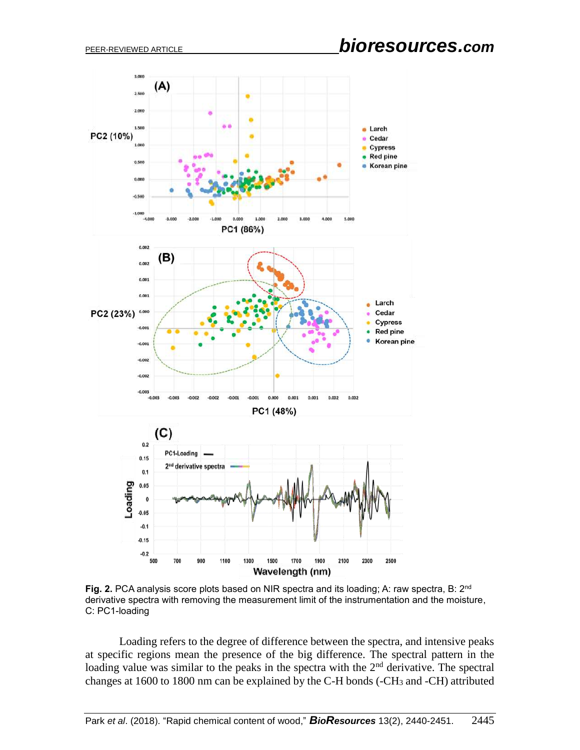

**Fig. 2.** PCA analysis score plots based on NIR spectra and its loading; A: raw spectra, B: 2<sup>nd</sup> derivative spectra with removing the measurement limit of the instrumentation and the moisture, C: PC1-loading

Loading refers to the degree of difference between the spectra, and intensive peaks at specific regions mean the presence of the big difference. The spectral pattern in the loading value was similar to the peaks in the spectra with the  $2<sup>nd</sup>$  derivative. The spectral changes at 1600 to 1800 nm can be explained by the C-H bonds (-CH<sub>3</sub> and -CH) attributed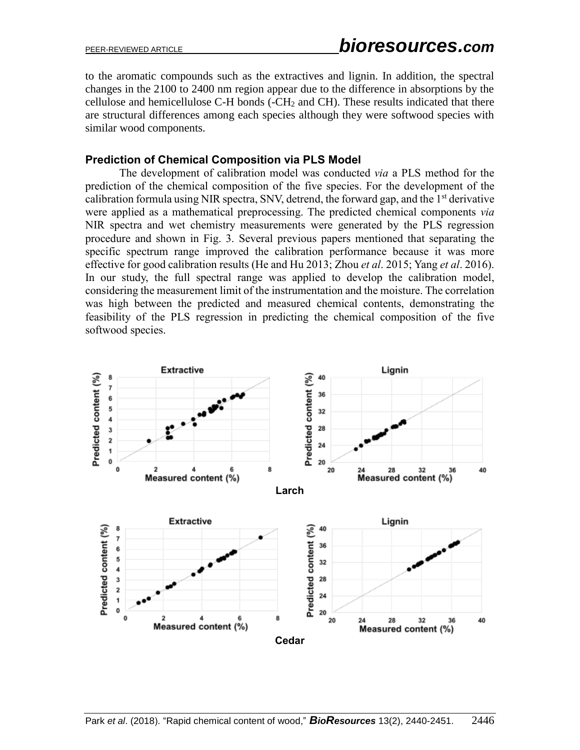to the aromatic compounds such as the extractives and lignin. In addition, the spectral changes in the 2100 to 2400 nm region appear due to the difference in absorptions by the cellulose and hemicellulose C-H bonds (-CH<sup>2</sup> and CH). These results indicated that there are structural differences among each species although they were softwood species with similar wood components.

## **Prediction of Chemical Composition via PLS Model**

The development of calibration model was conducted *via* a PLS method for the prediction of the chemical composition of the five species. For the development of the calibration formula using NIR spectra, SNV, detrend, the forward gap, and the 1<sup>st</sup> derivative were applied as a mathematical preprocessing. The predicted chemical components *via* NIR spectra and wet chemistry measurements were generated by the PLS regression procedure and shown in Fig. 3. Several previous papers mentioned that separating the specific spectrum range improved the calibration performance because it was more effective for good calibration results (He and Hu 2013; Zhou *et al*. 2015; Yang *et al*. 2016). In our study, the full spectral range was applied to develop the calibration model, considering the measurement limit of the instrumentation and the moisture. The correlation was high between the predicted and measured chemical contents, demonstrating the feasibility of the PLS regression in predicting the chemical composition of the five softwood species.

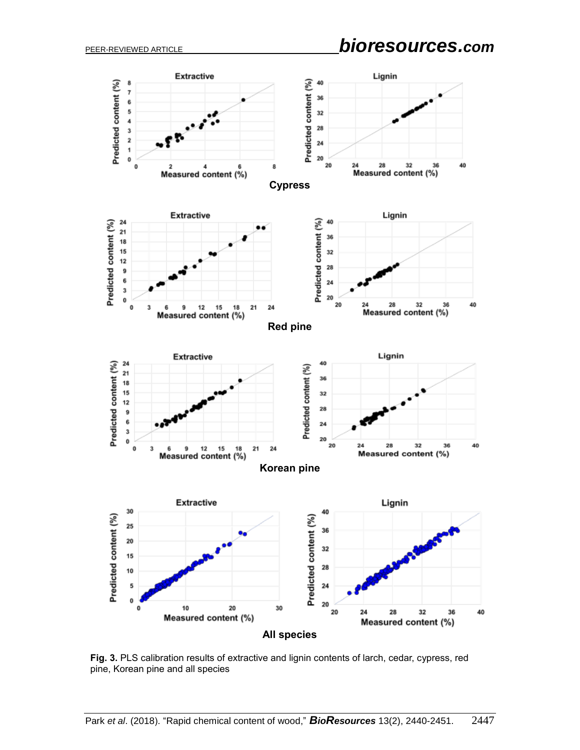PEER-REVIEWED ARTICLE *bioresources.com*

![](_page_7_Figure_2.jpeg)

**Fig. 3.** PLS calibration results of extractive and lignin contents of larch, cedar, cypress, red pine, Korean pine and all species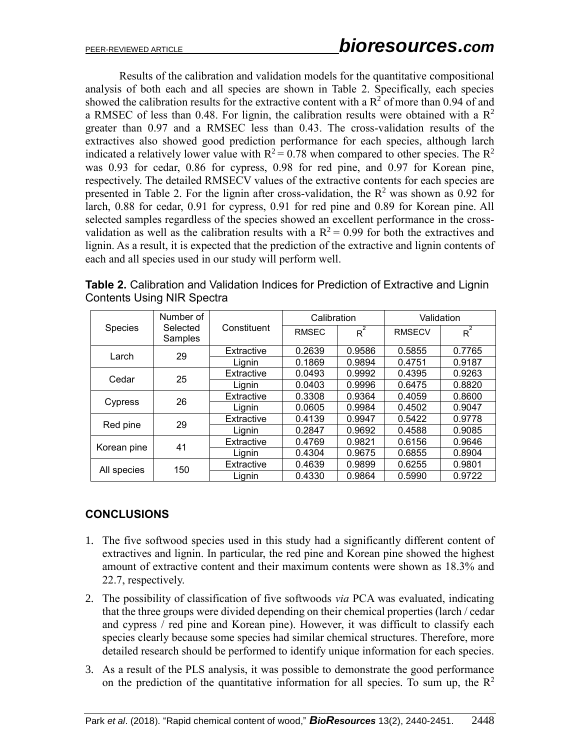Results of the calibration and validation models for the quantitative compositional analysis of both each and all species are shown in Table 2. Specifically, each species showed the calibration results for the extractive content with a  $R^2$  of more than 0.94 of and a RMSEC of less than 0.48. For lignin, the calibration results were obtained with a  $\mathbb{R}^2$ greater than 0.97 and a RMSEC less than 0.43. The cross-validation results of the extractives also showed good prediction performance for each species, although larch indicated a relatively lower value with  $R^2 = 0.78$  when compared to other species. The  $R^2$ was 0.93 for cedar, 0.86 for cypress, 0.98 for red pine, and 0.97 for Korean pine, respectively. The detailed RMSECV values of the extractive contents for each species are presented in Table 2. For the lignin after cross-validation, the  $R^2$  was shown as 0.92 for larch, 0.88 for cedar, 0.91 for cypress, 0.91 for red pine and 0.89 for Korean pine. All selected samples regardless of the species showed an excellent performance in the crossvalidation as well as the calibration results with a  $R^2 = 0.99$  for both the extractives and lignin. As a result, it is expected that the prediction of the extractive and lignin contents of each and all species used in our study will perform well.

|             | Number of           |             | Calibration  |                  | Validation    |                  |  |
|-------------|---------------------|-------------|--------------|------------------|---------------|------------------|--|
| Species     | Selected<br>Samples | Constituent | <b>RMSEC</b> | $\overline{R}^2$ | <b>RMSECV</b> | $\overline{R}^2$ |  |
| Larch       | 29                  | Extractive  | 0.2639       | 0.9586           | 0.5855        | 0.7765           |  |
|             |                     | Lignin      | 0.1869       | 0.9894           | 0.4751        | 0.9187           |  |
| Cedar       | 25                  | Extractive  | 0.0493       | 0.9992           | 0.4395        | 0.9263           |  |
|             |                     | Lignin      | 0.0403       | 0.9996           | 0.6475        | 0.8820           |  |
| Cypress     | 26                  | Extractive  | 0.3308       | 0.9364           | 0.4059        | 0.8600           |  |
|             |                     | Lignin      | 0.0605       | 0.9984           | 0.4502        | 0.9047           |  |
| Red pine    | 29                  | Extractive  | 0.4139       | 0.9947           | 0.5422        | 0.9778           |  |
|             |                     | Lignin      | 0.2847       | 0.9692           | 0.4588        | 0.9085           |  |
| Korean pine | 41                  | Extractive  | 0.4769       | 0.9821           | 0.6156        | 0.9646           |  |
|             |                     | Lignin      | 0.4304       | 0.9675           | 0.6855        | 0.8904           |  |
| All species | 150                 | Extractive  | 0.4639       | 0.9899           | 0.6255        | 0.9801           |  |
|             |                     | Lignin      | 0.4330       | 0.9864           | 0.5990        | 0.9722           |  |

**Table 2.** Calibration and Validation Indices for Prediction of Extractive and Lignin Contents Using NIR Spectra

# **CONCLUSIONS**

- 1. The five softwood species used in this study had a significantly different content of extractives and lignin. In particular, the red pine and Korean pine showed the highest amount of extractive content and their maximum contents were shown as 18.3% and 22.7, respectively.
- 2. The possibility of classification of five softwoods *via* PCA was evaluated, indicating that the three groups were divided depending on their chemical properties (larch / cedar and cypress / red pine and Korean pine). However, it was difficult to classify each species clearly because some species had similar chemical structures. Therefore, more detailed research should be performed to identify unique information for each species.
- 3. As a result of the PLS analysis, it was possible to demonstrate the good performance on the prediction of the quantitative information for all species. To sum up, the  $\mathbb{R}^2$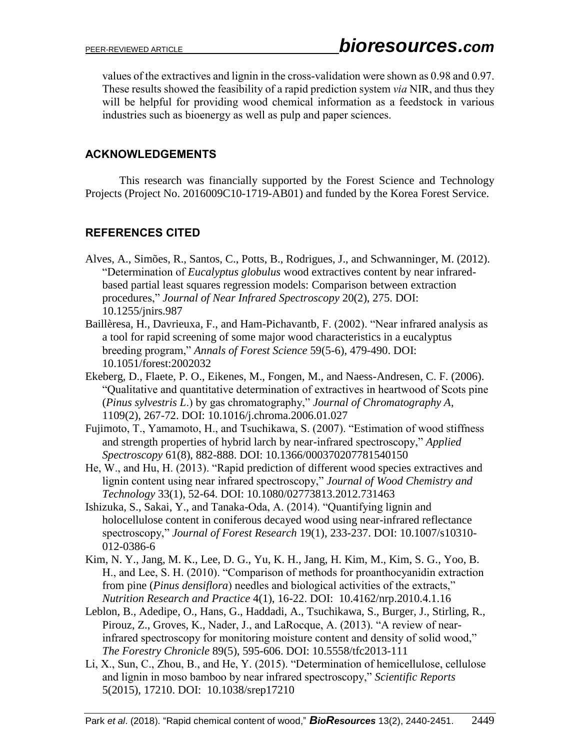values of the extractives and lignin in the cross-validation were shown as 0.98 and 0.97. These results showed the feasibility of a rapid prediction system *via* NIR, and thus they will be helpful for providing wood chemical information as a feedstock in various industries such as bioenergy as well as pulp and paper sciences.

## **ACKNOWLEDGEMENTS**

This research was financially supported by the Forest Science and Technology Projects (Project No. 2016009C10-1719-AB01) and funded by the Korea Forest Service.

# **REFERENCES CITED**

- Alves, A., Simões, R., Santos, C., Potts, B., Rodrigues, J., and Schwanninger, M. (2012). "Determination of *Eucalyptus globulus* wood extractives content by near infraredbased partial least squares regression models: Comparison between extraction procedures," *Journal of Near Infrared Spectroscopy* 20(2), 275. DOI: 10.1255/jnirs.987
- Baillèresa, H., Davrieuxa, F., and Ham-Pichavantb, F. (2002). "Near infrared analysis as a tool for rapid screening of some major wood characteristics in a eucalyptus breeding program," *Annals of Forest Science* 59(5-6), 479-490. DOI: 10.1051/forest:2002032
- Ekeberg, D., Flaete, P. O., Eikenes, M., Fongen, M., and Naess-Andresen, C. F. (2006). "Qualitative and quantitative determination of extractives in heartwood of Scots pine (*Pinus sylvestris L*.) by gas chromatography," *Journal of Chromatography A*, 1109(2), 267-72. DOI: 10.1016/j.chroma.2006.01.027
- Fujimoto, T., Yamamoto, H., and Tsuchikawa, S. (2007). "Estimation of wood stiffness and strength properties of hybrid larch by near-infrared spectroscopy," *Applied Spectroscopy* 61(8), 882-888. DOI: 10.1366/000370207781540150
- He, W., and Hu, H. (2013). "Rapid prediction of different wood species extractives and lignin content using near infrared spectroscopy," *Journal of Wood Chemistry and Technology* 33(1), 52-64. DOI: 10.1080/02773813.2012.731463
- Ishizuka, S., Sakai, Y., and Tanaka-Oda, A. (2014). "Quantifying lignin and holocellulose content in coniferous decayed wood using near-infrared reflectance spectroscopy," *Journal of Forest Research* 19(1), 233-237. DOI: 10.1007/s10310- 012-0386-6
- Kim, N. Y., Jang, M. K., Lee, D. G., Yu, K. H., Jang, H. Kim, M., Kim, S. G., Yoo, B. H., and Lee, S. H. (2010). "Comparison of methods for proanthocyanidin extraction from pine (*Pinus densiflora*) needles and biological activities of the extracts," *Nutrition Research and Practice* 4(1), 16-22. DOI: 10.4162/nrp.2010.4.1.16
- Leblon, B., Adedipe, O., Hans, G., Haddadi, A., Tsuchikawa, S., Burger, J., Stirling, R., Pirouz, Z., Groves, K., Nader, J., and LaRocque, A. (2013). "A review of nearinfrared spectroscopy for monitoring moisture content and density of solid wood," *The Forestry Chronicle* 89(5), 595-606. DOI: 10.5558/tfc2013-111
- Li, X., Sun, C., Zhou, B., and He, Y. (2015). "Determination of hemicellulose, cellulose and lignin in moso bamboo by near infrared spectroscopy," *Scientific Reports* 5(2015), 17210. DOI: 10.1038/srep17210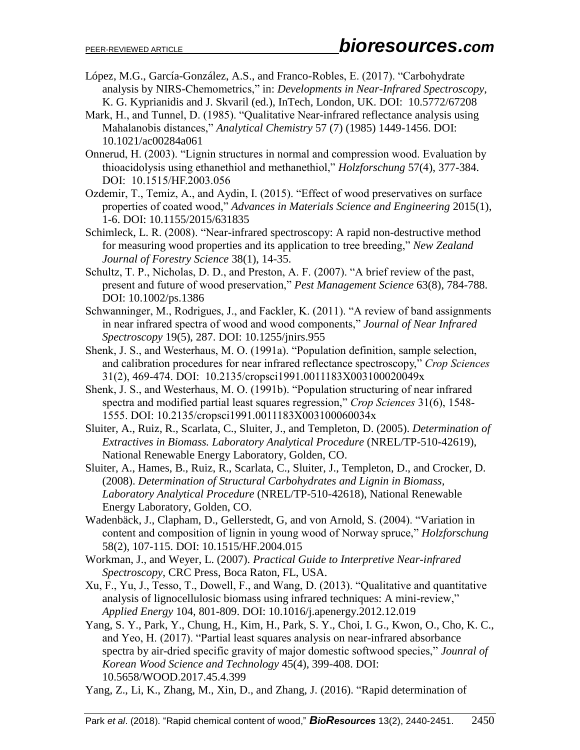- López, M.G., García-González, A.S., and Franco-Robles, E. (2017). "Carbohydrate analysis by NIRS-Chemometrics," in: *Developments in Near-Infrared Spectroscopy*, K. G. Kyprianidis and J. Skvaril (ed.), InTech, London, UK. DOI: 10.5772/67208
- Mark, H., and Tunnel, D. (1985). "Qualitative Near-infrared reflectance analysis using Mahalanobis distances," *Analytical Chemistry* 57 (7) (1985) 1449-1456. DOI: 10.1021/ac00284a061
- Onnerud, H. (2003). "Lignin structures in normal and compression wood. Evaluation by thioacidolysis using ethanethiol and methanethiol," *Holzforschung* 57(4), 377-384. DOI: 10.1515/HF.2003.056
- Ozdemir, T., Temiz, A., and Aydin, I. (2015). "Effect of wood preservatives on surface properties of coated wood," *Advances in Materials Science and Engineering* 2015(1), 1-6. DOI: [10.1155/2015/631835](http://dx.doi.org/10.1155/2015/631835)
- Schimleck, L. R. (2008). "Near-infrared spectroscopy: A rapid non-destructive method for measuring wood properties and its application to tree breeding," *New Zealand Journal of Forestry Science* 38(1), 14-35.
- Schultz, T. P., Nicholas, D. D., and Preston, A. F. (2007). "A brief review of the past, present and future of wood preservation," *Pest Management Science* 63(8), 784-788. DOI: 10.1002/ps.1386
- Schwanninger, M., Rodrigues, J., and Fackler, K. (2011). "A review of band assignments in near infrared spectra of wood and wood components," *Journal of Near Infrared Spectroscopy* 19(5), 287. DOI: 10.1255/jnirs.955
- Shenk, J. S., and Westerhaus, M. O. (1991a). "Population definition, sample selection, and calibration procedures for near infrared reflectance spectroscopy," *Crop Sciences* 31(2), 469-474. DOI: 10.2135/cropsci1991.0011183X003100020049x
- Shenk, J. S., and Westerhaus, M. O. (1991b). "Population structuring of near infrared spectra and modified partial least squares regression," *Crop Sciences* 31(6), 1548- 1555. DOI: 10.2135/cropsci1991.0011183X003100060034x
- Sluiter, A., Ruiz, R., Scarlata, C., Sluiter, J., and Templeton, D. (2005). *Determination of Extractives in Biomass. Laboratory Analytical Procedure* (NREL/TP-510-42619), National Renewable Energy Laboratory, Golden, CO.
- Sluiter, A., Hames, B., Ruiz, R., Scarlata, C., Sluiter, J., Templeton, D., and Crocker, D. (2008). *Determination of Structural Carbohydrates and Lignin in Biomass, Laboratory Analytical Procedure* (NREL/TP-510-42618), National Renewable Energy Laboratory, Golden, CO.
- Wadenbäck, J., Clapham, D., Gellerstedt, G, and von Arnold, S. (2004). "Variation in content and composition of lignin in young wood of Norway spruce," *Holzforschung* 58(2), 107-115. DOI: 10.1515/HF.2004.015
- Workman, J., and Weyer, L. (2007). *Practical Guide to Interpretive Near-infrared Spectroscopy*, CRC Press, Boca Raton, FL, USA.
- Xu, F., Yu, J., Tesso, T., Dowell, F., and Wang, D. (2013). "Qualitative and quantitative analysis of lignocellulosic biomass using infrared techniques: A mini-review," *Applied Energy* 104, 801-809. DOI: 10.1016/j.apenergy.2012.12.019
- Yang, S. Y., Park, Y., Chung, H., Kim, H., Park, S. Y., Choi, I. G., Kwon, O., Cho, K. C., and Yeo, H. (2017). "Partial least squares analysis on near-infrared absorbance spectra by air-dried specific gravity of major domestic softwood species," *Jounral of Korean Wood Science and Technology* 45(4), 399-408. DOI: 10.5658/WOOD.2017.45.4.399
- Yang, Z., Li, K., Zhang, M., Xin, D., and Zhang, J. (2016). "Rapid determination of

Park *et al*. (2018). "Rapid chemical content of wood," *BioResources* 13(2), 2440-2451. 2450